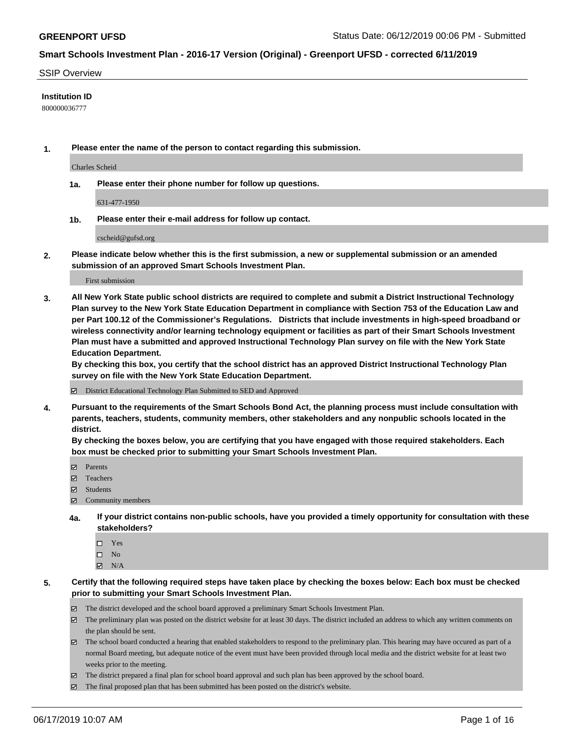#### SSIP Overview

### **Institution ID**

800000036777

**1. Please enter the name of the person to contact regarding this submission.**

Charles Scheid

**1a. Please enter their phone number for follow up questions.**

631-477-1950

**1b. Please enter their e-mail address for follow up contact.**

cscheid@gufsd.org

**2. Please indicate below whether this is the first submission, a new or supplemental submission or an amended submission of an approved Smart Schools Investment Plan.**

First submission

**3. All New York State public school districts are required to complete and submit a District Instructional Technology Plan survey to the New York State Education Department in compliance with Section 753 of the Education Law and per Part 100.12 of the Commissioner's Regulations. Districts that include investments in high-speed broadband or wireless connectivity and/or learning technology equipment or facilities as part of their Smart Schools Investment Plan must have a submitted and approved Instructional Technology Plan survey on file with the New York State Education Department.** 

**By checking this box, you certify that the school district has an approved District Instructional Technology Plan survey on file with the New York State Education Department.**

District Educational Technology Plan Submitted to SED and Approved

**4. Pursuant to the requirements of the Smart Schools Bond Act, the planning process must include consultation with parents, teachers, students, community members, other stakeholders and any nonpublic schools located in the district.** 

**By checking the boxes below, you are certifying that you have engaged with those required stakeholders. Each box must be checked prior to submitting your Smart Schools Investment Plan.**

- Parents
- Teachers
- Students
- $\Xi$  Community members
- **4a. If your district contains non-public schools, have you provided a timely opportunity for consultation with these stakeholders?**
	- □ Yes
	- $\square$  No
	- $N/A$
- **5. Certify that the following required steps have taken place by checking the boxes below: Each box must be checked prior to submitting your Smart Schools Investment Plan.**
	- The district developed and the school board approved a preliminary Smart Schools Investment Plan.
	- $\boxtimes$  The preliminary plan was posted on the district website for at least 30 days. The district included an address to which any written comments on the plan should be sent.
	- $\boxtimes$  The school board conducted a hearing that enabled stakeholders to respond to the preliminary plan. This hearing may have occured as part of a normal Board meeting, but adequate notice of the event must have been provided through local media and the district website for at least two weeks prior to the meeting.
	- The district prepared a final plan for school board approval and such plan has been approved by the school board.
	- $\boxtimes$  The final proposed plan that has been submitted has been posted on the district's website.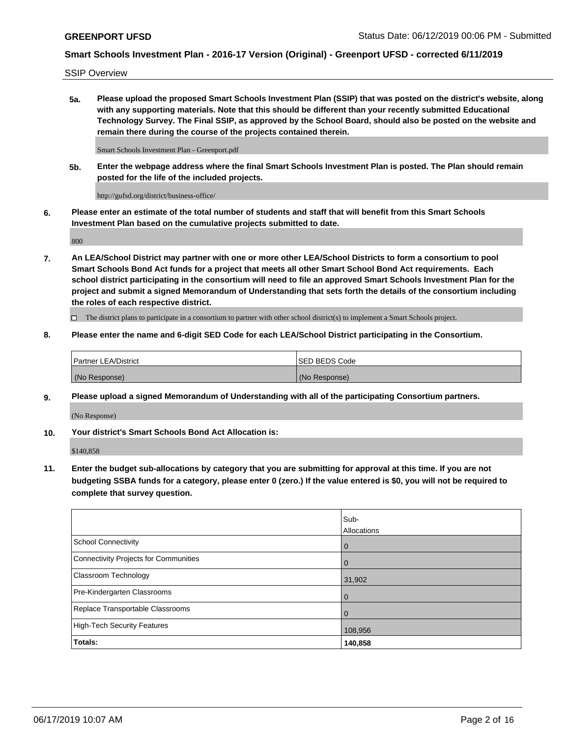SSIP Overview

**5a. Please upload the proposed Smart Schools Investment Plan (SSIP) that was posted on the district's website, along with any supporting materials. Note that this should be different than your recently submitted Educational Technology Survey. The Final SSIP, as approved by the School Board, should also be posted on the website and remain there during the course of the projects contained therein.**

Smart Schools Investment Plan - Greenport.pdf

**5b. Enter the webpage address where the final Smart Schools Investment Plan is posted. The Plan should remain posted for the life of the included projects.**

http://gufsd.org/district/business-office/

**6. Please enter an estimate of the total number of students and staff that will benefit from this Smart Schools Investment Plan based on the cumulative projects submitted to date.**

800

**7. An LEA/School District may partner with one or more other LEA/School Districts to form a consortium to pool Smart Schools Bond Act funds for a project that meets all other Smart School Bond Act requirements. Each school district participating in the consortium will need to file an approved Smart Schools Investment Plan for the project and submit a signed Memorandum of Understanding that sets forth the details of the consortium including the roles of each respective district.**

 $\Box$  The district plans to participate in a consortium to partner with other school district(s) to implement a Smart Schools project.

### **8. Please enter the name and 6-digit SED Code for each LEA/School District participating in the Consortium.**

| <b>Partner LEA/District</b> | <b>ISED BEDS Code</b> |
|-----------------------------|-----------------------|
| (No Response)               | (No Response)         |

### **9. Please upload a signed Memorandum of Understanding with all of the participating Consortium partners.**

(No Response)

**10. Your district's Smart Schools Bond Act Allocation is:**

\$140,858

**11. Enter the budget sub-allocations by category that you are submitting for approval at this time. If you are not budgeting SSBA funds for a category, please enter 0 (zero.) If the value entered is \$0, you will not be required to complete that survey question.**

|                                       | Sub-<br><b>Allocations</b> |
|---------------------------------------|----------------------------|
| <b>School Connectivity</b>            | $\mathbf 0$                |
| Connectivity Projects for Communities | $\overline{0}$             |
| <b>Classroom Technology</b>           | 31,902                     |
| Pre-Kindergarten Classrooms           | $\mathbf 0$                |
| Replace Transportable Classrooms      | $\Omega$                   |
| High-Tech Security Features           | 108,956                    |
| Totals:                               | 140,858                    |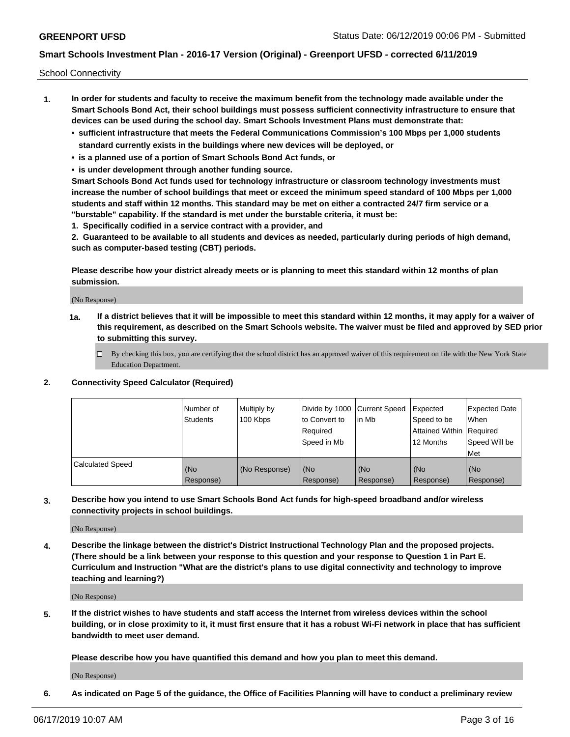School Connectivity

- **1. In order for students and faculty to receive the maximum benefit from the technology made available under the Smart Schools Bond Act, their school buildings must possess sufficient connectivity infrastructure to ensure that devices can be used during the school day. Smart Schools Investment Plans must demonstrate that:**
	- **• sufficient infrastructure that meets the Federal Communications Commission's 100 Mbps per 1,000 students standard currently exists in the buildings where new devices will be deployed, or**
	- **• is a planned use of a portion of Smart Schools Bond Act funds, or**
	- **• is under development through another funding source.**

**Smart Schools Bond Act funds used for technology infrastructure or classroom technology investments must increase the number of school buildings that meet or exceed the minimum speed standard of 100 Mbps per 1,000 students and staff within 12 months. This standard may be met on either a contracted 24/7 firm service or a "burstable" capability. If the standard is met under the burstable criteria, it must be:**

**1. Specifically codified in a service contract with a provider, and**

**2. Guaranteed to be available to all students and devices as needed, particularly during periods of high demand, such as computer-based testing (CBT) periods.**

**Please describe how your district already meets or is planning to meet this standard within 12 months of plan submission.**

(No Response)

**1a. If a district believes that it will be impossible to meet this standard within 12 months, it may apply for a waiver of this requirement, as described on the Smart Schools website. The waiver must be filed and approved by SED prior to submitting this survey.**

 $\Box$  By checking this box, you are certifying that the school district has an approved waiver of this requirement on file with the New York State Education Department.

#### **2. Connectivity Speed Calculator (Required)**

|                         | l Number of<br><b>Students</b> | Multiply by<br>100 Kbps | Divide by 1000 Current Speed<br>to Convert to<br>Required<br>l Speed in Mb | lin Mb           | Expected<br>Speed to be<br>Attained Within   Required<br>12 Months | <b>Expected Date</b><br>When<br>Speed Will be<br>Met |
|-------------------------|--------------------------------|-------------------------|----------------------------------------------------------------------------|------------------|--------------------------------------------------------------------|------------------------------------------------------|
| <b>Calculated Speed</b> | (No<br>Response)               | (No Response)           | (No<br>Response)                                                           | (No<br>Response) | (No<br>Response)                                                   | (No<br>Response)                                     |

**3. Describe how you intend to use Smart Schools Bond Act funds for high-speed broadband and/or wireless connectivity projects in school buildings.**

(No Response)

**4. Describe the linkage between the district's District Instructional Technology Plan and the proposed projects. (There should be a link between your response to this question and your response to Question 1 in Part E. Curriculum and Instruction "What are the district's plans to use digital connectivity and technology to improve teaching and learning?)**

(No Response)

**5. If the district wishes to have students and staff access the Internet from wireless devices within the school building, or in close proximity to it, it must first ensure that it has a robust Wi-Fi network in place that has sufficient bandwidth to meet user demand.**

**Please describe how you have quantified this demand and how you plan to meet this demand.**

(No Response)

**6. As indicated on Page 5 of the guidance, the Office of Facilities Planning will have to conduct a preliminary review**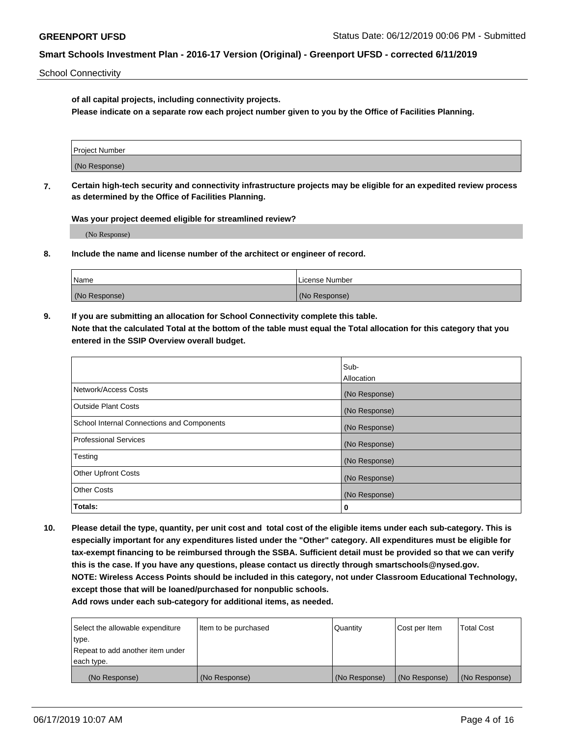School Connectivity

**of all capital projects, including connectivity projects.**

**Please indicate on a separate row each project number given to you by the Office of Facilities Planning.**

| Project Number |  |
|----------------|--|
|                |  |
| (No Response)  |  |
|                |  |

**7. Certain high-tech security and connectivity infrastructure projects may be eligible for an expedited review process as determined by the Office of Facilities Planning.**

**Was your project deemed eligible for streamlined review?**

(No Response)

**8. Include the name and license number of the architect or engineer of record.**

| Name          | License Number |
|---------------|----------------|
| (No Response) | (No Response)  |

**9. If you are submitting an allocation for School Connectivity complete this table. Note that the calculated Total at the bottom of the table must equal the Total allocation for this category that you entered in the SSIP Overview overall budget.** 

|                                            | Sub-              |
|--------------------------------------------|-------------------|
|                                            | <b>Allocation</b> |
| Network/Access Costs                       | (No Response)     |
| <b>Outside Plant Costs</b>                 | (No Response)     |
| School Internal Connections and Components | (No Response)     |
| <b>Professional Services</b>               | (No Response)     |
| Testing                                    | (No Response)     |
| <b>Other Upfront Costs</b>                 | (No Response)     |
| <b>Other Costs</b>                         | (No Response)     |
| Totals:                                    | 0                 |

**10. Please detail the type, quantity, per unit cost and total cost of the eligible items under each sub-category. This is especially important for any expenditures listed under the "Other" category. All expenditures must be eligible for tax-exempt financing to be reimbursed through the SSBA. Sufficient detail must be provided so that we can verify this is the case. If you have any questions, please contact us directly through smartschools@nysed.gov. NOTE: Wireless Access Points should be included in this category, not under Classroom Educational Technology, except those that will be loaned/purchased for nonpublic schools.**

| Select the allowable expenditure | Item to be purchased | Quantity      | <b>Cost per Item</b> | <b>Total Cost</b> |
|----------------------------------|----------------------|---------------|----------------------|-------------------|
| type.                            |                      |               |                      |                   |
| Repeat to add another item under |                      |               |                      |                   |
| each type.                       |                      |               |                      |                   |
| (No Response)                    | (No Response)        | (No Response) | (No Response)        | (No Response)     |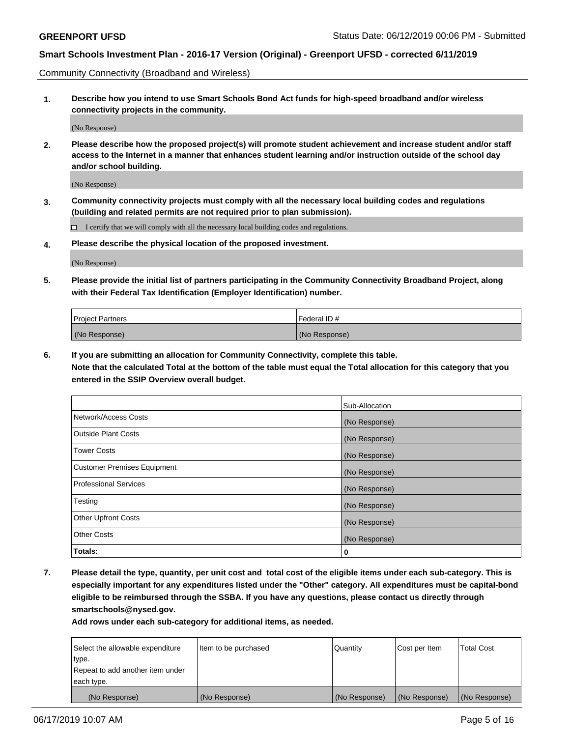Community Connectivity (Broadband and Wireless)

**1. Describe how you intend to use Smart Schools Bond Act funds for high-speed broadband and/or wireless connectivity projects in the community.**

(No Response)

**2. Please describe how the proposed project(s) will promote student achievement and increase student and/or staff access to the Internet in a manner that enhances student learning and/or instruction outside of the school day and/or school building.**

(No Response)

**3. Community connectivity projects must comply with all the necessary local building codes and regulations (building and related permits are not required prior to plan submission).**

 $\Box$  I certify that we will comply with all the necessary local building codes and regulations.

**4. Please describe the physical location of the proposed investment.**

(No Response)

**5. Please provide the initial list of partners participating in the Community Connectivity Broadband Project, along with their Federal Tax Identification (Employer Identification) number.**

| <b>Project Partners</b> | Federal ID#   |
|-------------------------|---------------|
| (No Response)           | (No Response) |

**6. If you are submitting an allocation for Community Connectivity, complete this table.**

**Note that the calculated Total at the bottom of the table must equal the Total allocation for this category that you entered in the SSIP Overview overall budget.**

|                                    | Sub-Allocation |
|------------------------------------|----------------|
| Network/Access Costs               | (No Response)  |
| <b>Outside Plant Costs</b>         | (No Response)  |
| <b>Tower Costs</b>                 | (No Response)  |
| <b>Customer Premises Equipment</b> | (No Response)  |
| <b>Professional Services</b>       | (No Response)  |
| Testing                            | (No Response)  |
| <b>Other Upfront Costs</b>         | (No Response)  |
| <b>Other Costs</b>                 | (No Response)  |
| Totals:                            | 0              |

**7. Please detail the type, quantity, per unit cost and total cost of the eligible items under each sub-category. This is especially important for any expenditures listed under the "Other" category. All expenditures must be capital-bond eligible to be reimbursed through the SSBA. If you have any questions, please contact us directly through smartschools@nysed.gov.**

| Select the allowable expenditure | Item to be purchased | Quantity      | Cost per Item | <b>Total Cost</b> |
|----------------------------------|----------------------|---------------|---------------|-------------------|
| type.                            |                      |               |               |                   |
| Repeat to add another item under |                      |               |               |                   |
| each type.                       |                      |               |               |                   |
| (No Response)                    | (No Response)        | (No Response) | (No Response) | (No Response)     |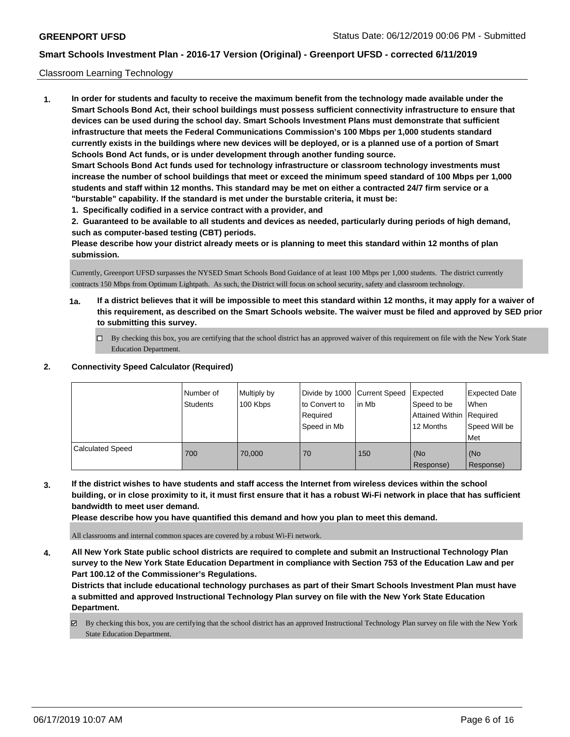#### Classroom Learning Technology

**1. In order for students and faculty to receive the maximum benefit from the technology made available under the Smart Schools Bond Act, their school buildings must possess sufficient connectivity infrastructure to ensure that devices can be used during the school day. Smart Schools Investment Plans must demonstrate that sufficient infrastructure that meets the Federal Communications Commission's 100 Mbps per 1,000 students standard currently exists in the buildings where new devices will be deployed, or is a planned use of a portion of Smart Schools Bond Act funds, or is under development through another funding source. Smart Schools Bond Act funds used for technology infrastructure or classroom technology investments must increase the number of school buildings that meet or exceed the minimum speed standard of 100 Mbps per 1,000 students and staff within 12 months. This standard may be met on either a contracted 24/7 firm service or a "burstable" capability. If the standard is met under the burstable criteria, it must be:**

**1. Specifically codified in a service contract with a provider, and**

**2. Guaranteed to be available to all students and devices as needed, particularly during periods of high demand, such as computer-based testing (CBT) periods.**

**Please describe how your district already meets or is planning to meet this standard within 12 months of plan submission.**

Currently, Greenport UFSD surpasses the NYSED Smart Schools Bond Guidance of at least 100 Mbps per 1,000 students. The district currently contracts 150 Mbps from Optimum Lightpath. As such, the District will focus on school security, safety and classroom technology.

- **1a. If a district believes that it will be impossible to meet this standard within 12 months, it may apply for a waiver of this requirement, as described on the Smart Schools website. The waiver must be filed and approved by SED prior to submitting this survey.**
	- By checking this box, you are certifying that the school district has an approved waiver of this requirement on file with the New York State Education Department.

### **2. Connectivity Speed Calculator (Required)**

|                         | I Number of<br><b>Students</b> | Multiply by<br>100 Kbps | Divide by 1000   Current Speed<br>to Convert to<br>Required<br>Speed in Mb | lin Mb | Expected<br>Speed to be<br>Attained Within   Required<br>12 Months | <b>Expected Date</b><br>When<br>Speed Will be<br>l Met |
|-------------------------|--------------------------------|-------------------------|----------------------------------------------------------------------------|--------|--------------------------------------------------------------------|--------------------------------------------------------|
| <b>Calculated Speed</b> | 700                            | 70,000                  | 70                                                                         | 150    | (No<br>Response)                                                   | (No<br>Response)                                       |

**3. If the district wishes to have students and staff access the Internet from wireless devices within the school building, or in close proximity to it, it must first ensure that it has a robust Wi-Fi network in place that has sufficient bandwidth to meet user demand.**

**Please describe how you have quantified this demand and how you plan to meet this demand.**

All classrooms and internal common spaces are covered by a robust Wi-Fi network.

**4. All New York State public school districts are required to complete and submit an Instructional Technology Plan survey to the New York State Education Department in compliance with Section 753 of the Education Law and per Part 100.12 of the Commissioner's Regulations.**

**Districts that include educational technology purchases as part of their Smart Schools Investment Plan must have a submitted and approved Instructional Technology Plan survey on file with the New York State Education Department.**

By checking this box, you are certifying that the school district has an approved Instructional Technology Plan survey on file with the New York State Education Department.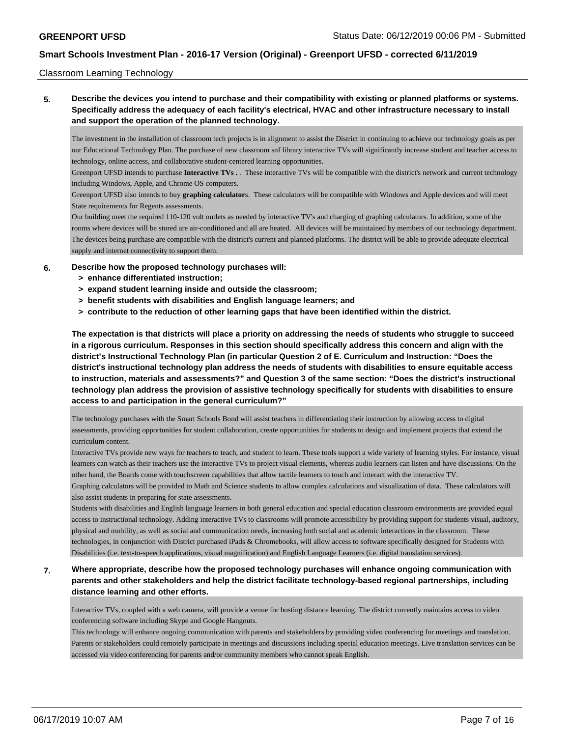#### Classroom Learning Technology

**5. Describe the devices you intend to purchase and their compatibility with existing or planned platforms or systems. Specifically address the adequacy of each facility's electrical, HVAC and other infrastructure necessary to install and support the operation of the planned technology.**

The investment in the installation of classroom tech projects is in alignment to assist the District in continuing to achieve our technology goals as per our Educational Technology Plan. The purchase of new classroom snf library interactive TVs will significantly increase student and teacher access to technology, online access, and collaborative student-centered learning opportunities.

Greenport UFSD intends to purchase **Interactive TVs .** . These interactive TVs will be compatible with the district's network and current technology including Windows, Apple, and Chrome OS computers.

Greenport UFSD also intends to buy **graphing calculator**s. These calculators will be compatible with Windows and Apple devices and will meet State requirements for Regents assessments.

Our building meet the required 110-120 volt outlets as needed by interactive TV's and charging of graphing calculators. In addition, some of the rooms where devices will be stored are air-conditioned and all are heated. All devices will be maintained by members of our technology department. The devices being purchase are compatible with the district's current and planned platforms. The district will be able to provide adequate electrical supply and internet connectivity to support them.

- **6. Describe how the proposed technology purchases will:**
	- **> enhance differentiated instruction;**
	- **> expand student learning inside and outside the classroom;**
	- **> benefit students with disabilities and English language learners; and**
	- **> contribute to the reduction of other learning gaps that have been identified within the district.**

**The expectation is that districts will place a priority on addressing the needs of students who struggle to succeed in a rigorous curriculum. Responses in this section should specifically address this concern and align with the district's Instructional Technology Plan (in particular Question 2 of E. Curriculum and Instruction: "Does the district's instructional technology plan address the needs of students with disabilities to ensure equitable access to instruction, materials and assessments?" and Question 3 of the same section: "Does the district's instructional technology plan address the provision of assistive technology specifically for students with disabilities to ensure access to and participation in the general curriculum?"**

The technology purchases with the Smart Schools Bond will assist teachers in differentiating their instruction by allowing access to digital assessments, providing opportunities for student collaboration, create opportunities for students to design and implement projects that extend the curriculum content.

Interactive TVs provide new ways for teachers to teach, and student to learn. These tools support a wide variety of learning styles. For instance, visual learners can watch as their teachers use the interactive TVs to project visual elements, whereas audio learners can listen and have discussions. On the other hand, the Boards come with touchscreen capabilities that allow tactile learners to touch and interact with the interactive TV.

Graphing calculators will be provided to Math and Science students to allow complex calculations and visualization of data. These calculators will also assist students in preparing for state assessments.

Students with disabilities and English language learners in both general education and special education classroom environments are provided equal access to instructional technology. Adding interactive TVs to classrooms will promote accessibility by providing support for students visual, auditory, physical and mobility, as well as social and communication needs, increasing both social and academic interactions in the classroom. These technologies, in conjunction with District purchased iPads & Chromebooks, will allow access to software specifically designed for Students with Disabilities (i.e. text-to-speech applications, visual magnification) and English Language Learners (i.e. digital translation services).

**7. Where appropriate, describe how the proposed technology purchases will enhance ongoing communication with parents and other stakeholders and help the district facilitate technology-based regional partnerships, including distance learning and other efforts.**

Interactive TVs, coupled with a web camera, will provide a venue for hosting distance learning. The district currently maintains access to video conferencing software including Skype and Google Hangouts.

This technology will enhance ongoing communication with parents and stakeholders by providing video conferencing for meetings and translation. Parents or stakeholders could remotely participate in meetings and discussions including special education meetings. Live translation services can be accessed via video conferencing for parents and/or community members who cannot speak English.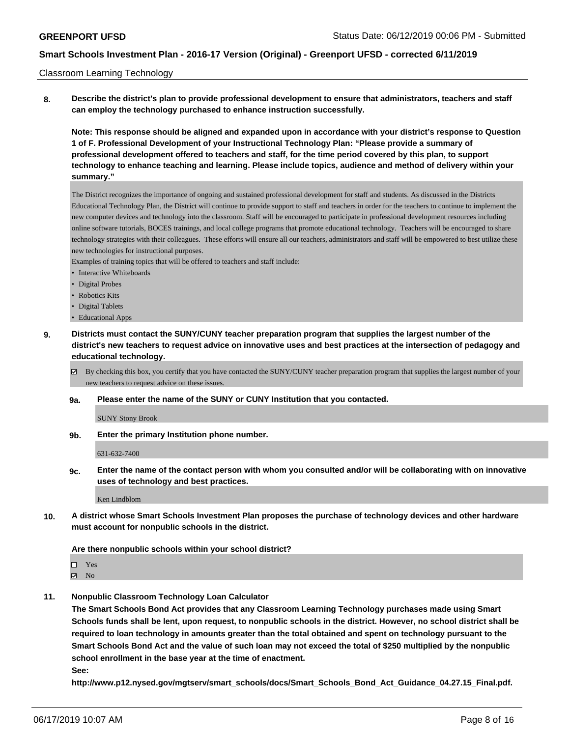#### Classroom Learning Technology

**8. Describe the district's plan to provide professional development to ensure that administrators, teachers and staff can employ the technology purchased to enhance instruction successfully.**

**Note: This response should be aligned and expanded upon in accordance with your district's response to Question 1 of F. Professional Development of your Instructional Technology Plan: "Please provide a summary of professional development offered to teachers and staff, for the time period covered by this plan, to support technology to enhance teaching and learning. Please include topics, audience and method of delivery within your summary."**

The District recognizes the importance of ongoing and sustained professional development for staff and students. As discussed in the Districts Educational Technology Plan, the District will continue to provide support to staff and teachers in order for the teachers to continue to implement the new computer devices and technology into the classroom. Staff will be encouraged to participate in professional development resources including online software tutorials, BOCES trainings, and local college programs that promote educational technology. Teachers will be encouraged to share technology strategies with their colleagues. These efforts will ensure all our teachers, administrators and staff will be empowered to best utilize these new technologies for instructional purposes.

Examples of training topics that will be offered to teachers and staff include:

- Interactive Whiteboards
- Digital Probes
- Robotics Kits
- Digital Tablets
- Educational Apps
- **9. Districts must contact the SUNY/CUNY teacher preparation program that supplies the largest number of the district's new teachers to request advice on innovative uses and best practices at the intersection of pedagogy and educational technology.**
	- By checking this box, you certify that you have contacted the SUNY/CUNY teacher preparation program that supplies the largest number of your new teachers to request advice on these issues.

#### **9a. Please enter the name of the SUNY or CUNY Institution that you contacted.**

SUNY Stony Brook

**9b. Enter the primary Institution phone number.**

631-632-7400

**9c. Enter the name of the contact person with whom you consulted and/or will be collaborating with on innovative uses of technology and best practices.**

Ken Lindblom

**10. A district whose Smart Schools Investment Plan proposes the purchase of technology devices and other hardware must account for nonpublic schools in the district.**

#### **Are there nonpublic schools within your school district?**

□ Yes **Ø** No

**11. Nonpublic Classroom Technology Loan Calculator**

**The Smart Schools Bond Act provides that any Classroom Learning Technology purchases made using Smart Schools funds shall be lent, upon request, to nonpublic schools in the district. However, no school district shall be required to loan technology in amounts greater than the total obtained and spent on technology pursuant to the Smart Schools Bond Act and the value of such loan may not exceed the total of \$250 multiplied by the nonpublic school enrollment in the base year at the time of enactment.**

**See:**

**http://www.p12.nysed.gov/mgtserv/smart\_schools/docs/Smart\_Schools\_Bond\_Act\_Guidance\_04.27.15\_Final.pdf.**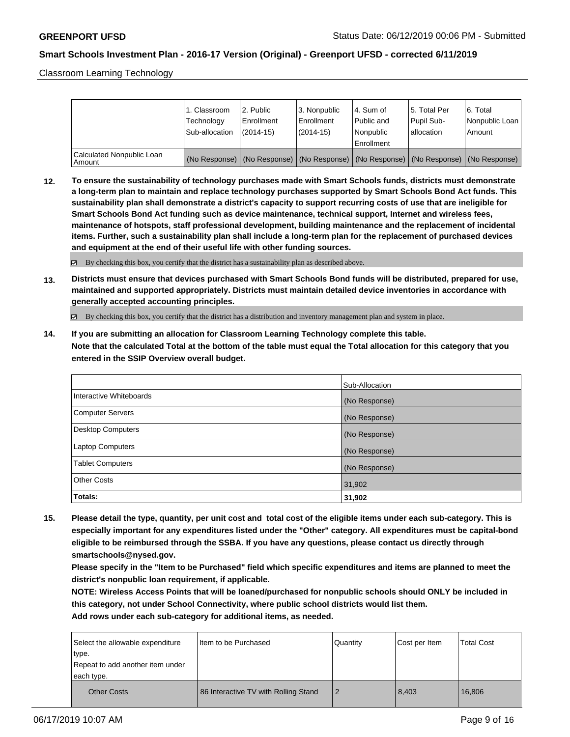Classroom Learning Technology

|                                     | 1. Classroom<br>Technology<br>Sub-allocation | l 2. Public<br>Enrollment<br>$(2014 - 15)$ | 3. Nonpublic<br>Enrollment<br>$(2014-15)$ | l 4. Sum of<br>Public and<br>l Nonpublic                                                      | 15. Total Per<br>Pupil Sub-<br>lallocation | 6. Total<br>Nonpublic Loan  <br>Amount |
|-------------------------------------|----------------------------------------------|--------------------------------------------|-------------------------------------------|-----------------------------------------------------------------------------------------------|--------------------------------------------|----------------------------------------|
|                                     |                                              |                                            |                                           | Enrollment                                                                                    |                                            |                                        |
| Calculated Nonpublic Loan<br>Amount |                                              |                                            |                                           | (No Response)   (No Response)   (No Response)   (No Response)   (No Response)   (No Response) |                                            |                                        |

**12. To ensure the sustainability of technology purchases made with Smart Schools funds, districts must demonstrate a long-term plan to maintain and replace technology purchases supported by Smart Schools Bond Act funds. This sustainability plan shall demonstrate a district's capacity to support recurring costs of use that are ineligible for Smart Schools Bond Act funding such as device maintenance, technical support, Internet and wireless fees, maintenance of hotspots, staff professional development, building maintenance and the replacement of incidental items. Further, such a sustainability plan shall include a long-term plan for the replacement of purchased devices and equipment at the end of their useful life with other funding sources.**

 $\boxtimes$  By checking this box, you certify that the district has a sustainability plan as described above.

**13. Districts must ensure that devices purchased with Smart Schools Bond funds will be distributed, prepared for use, maintained and supported appropriately. Districts must maintain detailed device inventories in accordance with generally accepted accounting principles.**

By checking this box, you certify that the district has a distribution and inventory management plan and system in place.

**14. If you are submitting an allocation for Classroom Learning Technology complete this table. Note that the calculated Total at the bottom of the table must equal the Total allocation for this category that you entered in the SSIP Overview overall budget.**

|                          | Sub-Allocation |
|--------------------------|----------------|
| Interactive Whiteboards  | (No Response)  |
| Computer Servers         | (No Response)  |
| <b>Desktop Computers</b> | (No Response)  |
| Laptop Computers         | (No Response)  |
| <b>Tablet Computers</b>  | (No Response)  |
| <b>Other Costs</b>       | 31,902         |
| Totals:                  | 31,902         |

**15. Please detail the type, quantity, per unit cost and total cost of the eligible items under each sub-category. This is especially important for any expenditures listed under the "Other" category. All expenditures must be capital-bond eligible to be reimbursed through the SSBA. If you have any questions, please contact us directly through smartschools@nysed.gov.**

**Please specify in the "Item to be Purchased" field which specific expenditures and items are planned to meet the district's nonpublic loan requirement, if applicable.**

**NOTE: Wireless Access Points that will be loaned/purchased for nonpublic schools should ONLY be included in this category, not under School Connectivity, where public school districts would list them.**

| Select the allowable expenditure<br>type.<br>Repeat to add another item under<br>each type. | I Item to be Purchased               | Quantity | Cost per Item | <b>Total Cost</b> |
|---------------------------------------------------------------------------------------------|--------------------------------------|----------|---------------|-------------------|
| <b>Other Costs</b>                                                                          | 86 Interactive TV with Rolling Stand |          | 8,403         | 16.806            |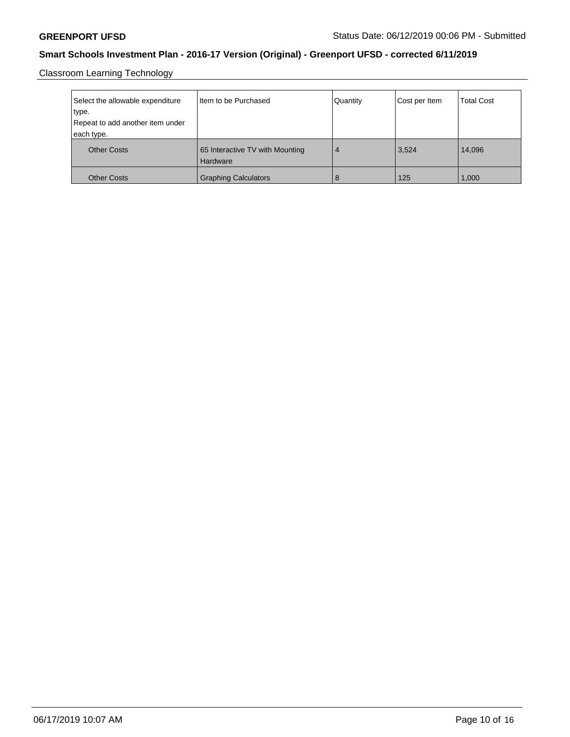Classroom Learning Technology

| Select the allowable expenditure | I Item to be Purchased                      | Quantity | Cost per Item | <b>Total Cost</b> |
|----------------------------------|---------------------------------------------|----------|---------------|-------------------|
| type.                            |                                             |          |               |                   |
| Repeat to add another item under |                                             |          |               |                   |
| each type.                       |                                             |          |               |                   |
| <b>Other Costs</b>               | 65 Interactive TV with Mounting<br>Hardware | 4        | 3,524         | 14,096            |
| <b>Other Costs</b>               | <b>Graphing Calculators</b>                 | 8        | 125           | 1,000             |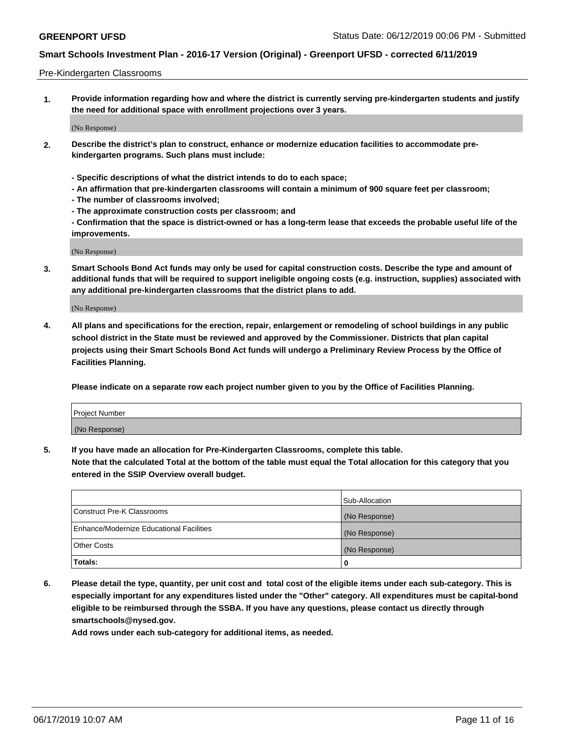#### Pre-Kindergarten Classrooms

**1. Provide information regarding how and where the district is currently serving pre-kindergarten students and justify the need for additional space with enrollment projections over 3 years.**

(No Response)

- **2. Describe the district's plan to construct, enhance or modernize education facilities to accommodate prekindergarten programs. Such plans must include:**
	- **Specific descriptions of what the district intends to do to each space;**
	- **An affirmation that pre-kindergarten classrooms will contain a minimum of 900 square feet per classroom;**
	- **The number of classrooms involved;**
	- **The approximate construction costs per classroom; and**
	- **Confirmation that the space is district-owned or has a long-term lease that exceeds the probable useful life of the improvements.**

(No Response)

**3. Smart Schools Bond Act funds may only be used for capital construction costs. Describe the type and amount of additional funds that will be required to support ineligible ongoing costs (e.g. instruction, supplies) associated with any additional pre-kindergarten classrooms that the district plans to add.**

(No Response)

**4. All plans and specifications for the erection, repair, enlargement or remodeling of school buildings in any public school district in the State must be reviewed and approved by the Commissioner. Districts that plan capital projects using their Smart Schools Bond Act funds will undergo a Preliminary Review Process by the Office of Facilities Planning.**

**Please indicate on a separate row each project number given to you by the Office of Facilities Planning.**

| Project Number |  |
|----------------|--|
| (No Response)  |  |
|                |  |

**5. If you have made an allocation for Pre-Kindergarten Classrooms, complete this table.**

**Note that the calculated Total at the bottom of the table must equal the Total allocation for this category that you entered in the SSIP Overview overall budget.**

|                                          | Sub-Allocation |
|------------------------------------------|----------------|
| Construct Pre-K Classrooms               | (No Response)  |
| Enhance/Modernize Educational Facilities | (No Response)  |
| <b>Other Costs</b>                       | (No Response)  |
| Totals:                                  | 0              |

**6. Please detail the type, quantity, per unit cost and total cost of the eligible items under each sub-category. This is especially important for any expenditures listed under the "Other" category. All expenditures must be capital-bond eligible to be reimbursed through the SSBA. If you have any questions, please contact us directly through smartschools@nysed.gov.**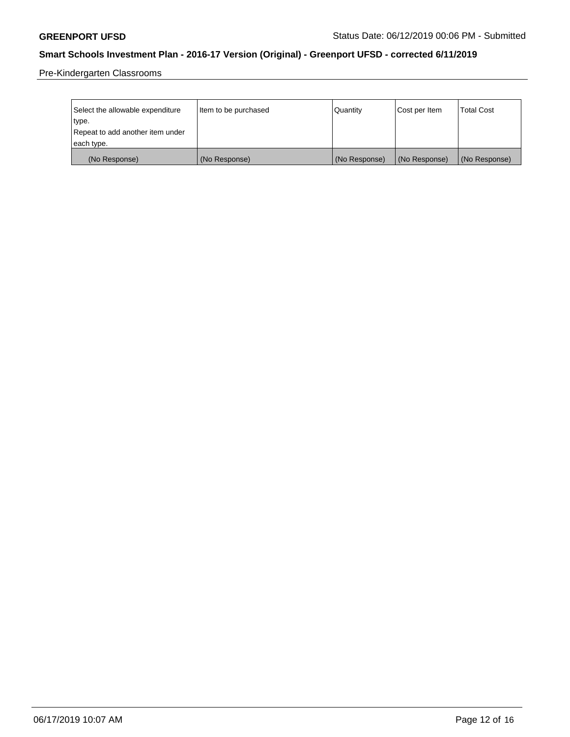Pre-Kindergarten Classrooms

| Select the allowable expenditure<br>type.      | Item to be purchased | Quantity      | Cost per Item | <b>Total Cost</b> |
|------------------------------------------------|----------------------|---------------|---------------|-------------------|
| Repeat to add another item under<br>each type. |                      |               |               |                   |
| (No Response)                                  | (No Response)        | (No Response) | (No Response) | (No Response)     |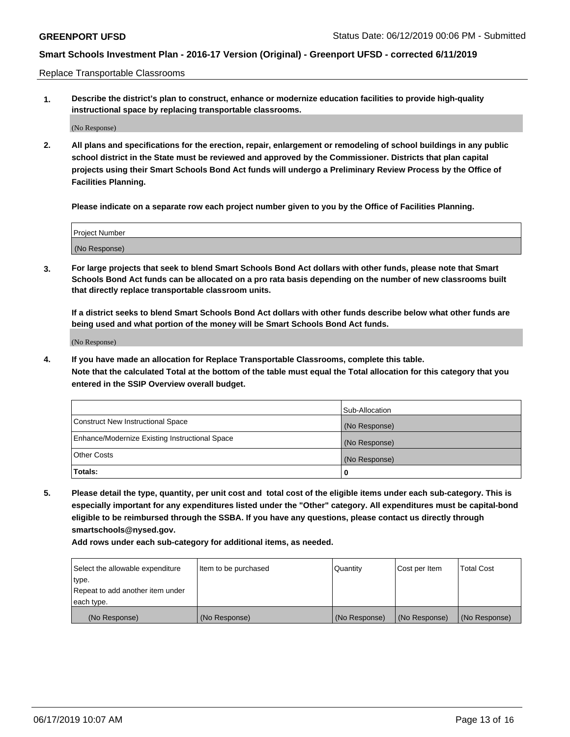Replace Transportable Classrooms

**1. Describe the district's plan to construct, enhance or modernize education facilities to provide high-quality instructional space by replacing transportable classrooms.**

(No Response)

**2. All plans and specifications for the erection, repair, enlargement or remodeling of school buildings in any public school district in the State must be reviewed and approved by the Commissioner. Districts that plan capital projects using their Smart Schools Bond Act funds will undergo a Preliminary Review Process by the Office of Facilities Planning.**

**Please indicate on a separate row each project number given to you by the Office of Facilities Planning.**

| Project Number |  |
|----------------|--|
|                |  |
| (No Response)  |  |

**3. For large projects that seek to blend Smart Schools Bond Act dollars with other funds, please note that Smart Schools Bond Act funds can be allocated on a pro rata basis depending on the number of new classrooms built that directly replace transportable classroom units.**

**If a district seeks to blend Smart Schools Bond Act dollars with other funds describe below what other funds are being used and what portion of the money will be Smart Schools Bond Act funds.**

(No Response)

**4. If you have made an allocation for Replace Transportable Classrooms, complete this table. Note that the calculated Total at the bottom of the table must equal the Total allocation for this category that you entered in the SSIP Overview overall budget.**

|                                                | Sub-Allocation |
|------------------------------------------------|----------------|
| Construct New Instructional Space              | (No Response)  |
| Enhance/Modernize Existing Instructional Space | (No Response)  |
| <b>Other Costs</b>                             | (No Response)  |
| Totals:                                        | 0              |

**5. Please detail the type, quantity, per unit cost and total cost of the eligible items under each sub-category. This is especially important for any expenditures listed under the "Other" category. All expenditures must be capital-bond eligible to be reimbursed through the SSBA. If you have any questions, please contact us directly through smartschools@nysed.gov.**

| Select the allowable expenditure | Item to be purchased | l Quantitv    | Cost per Item | <b>Total Cost</b> |
|----------------------------------|----------------------|---------------|---------------|-------------------|
| type.                            |                      |               |               |                   |
| Repeat to add another item under |                      |               |               |                   |
| each type.                       |                      |               |               |                   |
| (No Response)                    | (No Response)        | (No Response) | (No Response) | (No Response)     |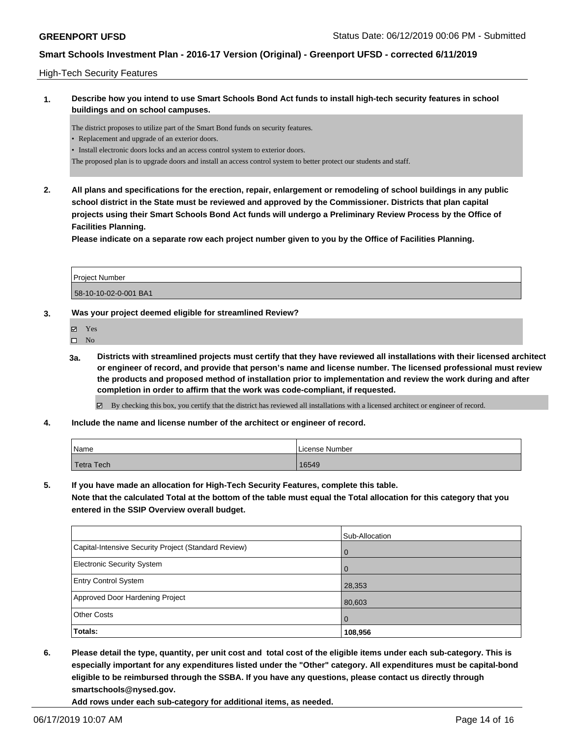### High-Tech Security Features

### **1. Describe how you intend to use Smart Schools Bond Act funds to install high-tech security features in school buildings and on school campuses.**

The district proposes to utilize part of the Smart Bond funds on security features.

- Replacement and upgrade of an exterior doors.
- Install electronic doors locks and an access control system to exterior doors.
- The proposed plan is to upgrade doors and install an access control system to better protect our students and staff.
- **2. All plans and specifications for the erection, repair, enlargement or remodeling of school buildings in any public school district in the State must be reviewed and approved by the Commissioner. Districts that plan capital projects using their Smart Schools Bond Act funds will undergo a Preliminary Review Process by the Office of Facilities Planning.**

**Please indicate on a separate row each project number given to you by the Office of Facilities Planning.**

| <b>Project Number</b> |  |
|-----------------------|--|
| 58-10-10-02-0-001 BA1 |  |

### **3. Was your project deemed eligible for streamlined Review?**

- Yes
- $\square$  No
- **3a. Districts with streamlined projects must certify that they have reviewed all installations with their licensed architect or engineer of record, and provide that person's name and license number. The licensed professional must review the products and proposed method of installation prior to implementation and review the work during and after completion in order to affirm that the work was code-compliant, if requested.**

By checking this box, you certify that the district has reviewed all installations with a licensed architect or engineer of record.

**4. Include the name and license number of the architect or engineer of record.**

| 'Name             | License Number |
|-------------------|----------------|
| <b>Tetra Tech</b> | 16549          |

**5. If you have made an allocation for High-Tech Security Features, complete this table.**

**Note that the calculated Total at the bottom of the table must equal the Total allocation for this category that you entered in the SSIP Overview overall budget.**

|                                                      | Sub-Allocation |
|------------------------------------------------------|----------------|
| Capital-Intensive Security Project (Standard Review) | $\Omega$       |
| Electronic Security System                           | $\Omega$       |
| <b>Entry Control System</b>                          | 28,353         |
| Approved Door Hardening Project                      | 80,603         |
| <b>Other Costs</b>                                   | $\Omega$       |
| Totals:                                              | 108,956        |

**6. Please detail the type, quantity, per unit cost and total cost of the eligible items under each sub-category. This is especially important for any expenditures listed under the "Other" category. All expenditures must be capital-bond eligible to be reimbursed through the SSBA. If you have any questions, please contact us directly through smartschools@nysed.gov.**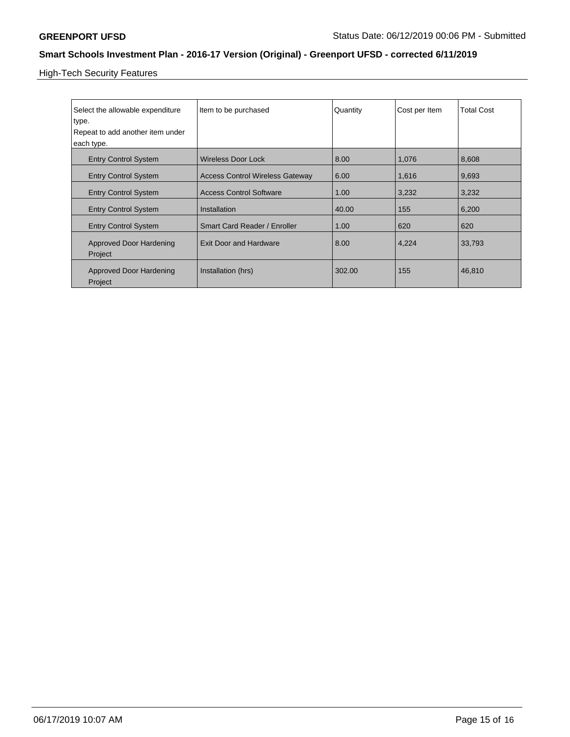High-Tech Security Features

| Select the allowable expenditure<br>type. | Item to be purchased                   | Quantity | Cost per Item | <b>Total Cost</b> |
|-------------------------------------------|----------------------------------------|----------|---------------|-------------------|
| Repeat to add another item under          |                                        |          |               |                   |
| each type.                                |                                        |          |               |                   |
| <b>Entry Control System</b>               | <b>Wireless Door Lock</b>              | 8.00     | 1,076         | 8,608             |
| <b>Entry Control System</b>               | <b>Access Control Wireless Gateway</b> | 6.00     | 1,616         | 9,693             |
| <b>Entry Control System</b>               | <b>Access Control Software</b>         | 1.00     | 3,232         | 3,232             |
| <b>Entry Control System</b>               | Installation                           | 40.00    | 155           | 6,200             |
| <b>Entry Control System</b>               | Smart Card Reader / Enroller           | 1.00     | 620           | 620               |
| <b>Approved Door Hardening</b><br>Project | <b>Exit Door and Hardware</b>          | 8.00     | 4,224         | 33,793            |
| <b>Approved Door Hardening</b><br>Project | Installation (hrs)                     | 302.00   | 155           | 46,810            |